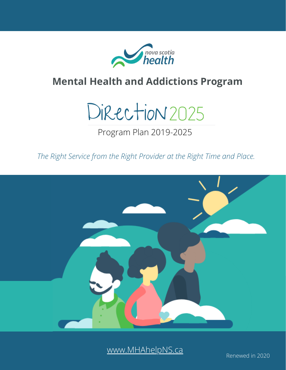

#### **Mental Health and Addictions Program**



Program Plan 2019-2025

*The Right Service from the Right Provider at the Right Time and Place.*



[www.MHAhelpNS.ca](http://www.mhahelpns.ca/)

Renewed in 2020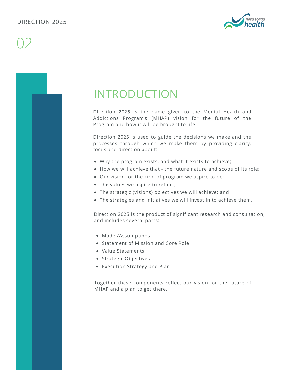

### INTRODUCTION

Direction 2025 is the name given to the Mental Health and Addictions Program's (MHAP) vision for the future of the Program and how it will be brought to life.

Direction 2025 is used to guide the decisions we make and the processes through which we make them by providing clarity, focus and direction about:

- Why the program exists, and what it exists to achieve;
- How we will achieve that the future nature and scope of its role;
- Our vision for the kind of program we aspire to be;
- The values we aspire to reflect;
- The strategic (visions) objectives we will achieve; and
- The strategies and initiatives we will invest in to achieve them.

Direction 2025 is the product of significant research and consultation, and includes several parts:

- Model/Assumptions
- Statement of Mission and Core Role
- Value Statements
- Strategic Objectives
- Execution Strategy and Plan

Together these components reflect our vision for the future of MHAP and a plan to get there.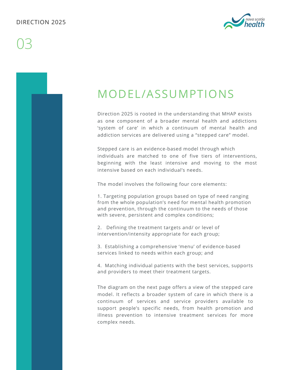#### DIRECTION 2025

## 03



### MODEL/ASSUMPTIONS

Direction 2025 is rooted in the understanding that MHAP exists as one component of a broader mental health and addictions 'system of care' in which a continuum of mental health and addiction services are delivered using a "stepped care" model.

Stepped care is an evidence-based model through which individuals are matched to one of five tiers of interventions, beginning with the least intensive and moving to the most intensive based on each individual's needs.

The model involves the following four core elements:

1. Targeting population groups based on type of need ranging from the whole population's need for mental health promotion and prevention, through the continuum to the needs of those with severe, persistent and complex conditions;

2. Defining the treatment targets and/ or level of intervention/intensity appropriate for each group;

3. Establishing a comprehensive 'menu' of evidence-based services linked to needs within each group; and

4. Matching individual patients with the best services, supports and providers to meet their treatment targets.

The diagram on the next page offers a view of the stepped care model. It reflects a broader system of care in which there is a continuum of services and service providers available to support people's specific needs, from health promotion and illness prevention to intensive treatment services for more complex needs.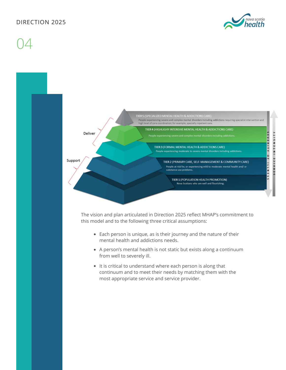#### DIRECTION 2025



04

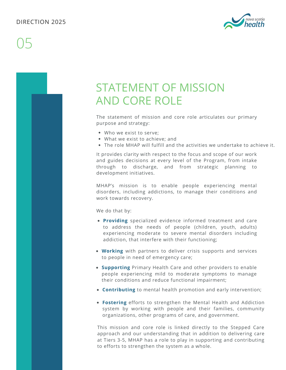

### STATEMENT OF MISSION AND CORE ROLE

The statement of mission and core role articulates our primary purpose and strategy:

- Who we exist to serve;
- What we exist to achieve; and
- The role MHAP will fulfill and the activities we undertake to achieve it.

It provides clarity with respect to the focus and scope of our work and guides decisions at every level of the Program, from intake through to discharge, and from strategic planning to development initiatives.

MHAP's mission is to enable people experiencing mental disorders, including addictions, to manage their conditions and work towards recovery.

We do that by:

- **Providing** specialized evidence informed treatment and care to address the needs of people (children, youth, adults) experiencing moderate to severe mental disorders including addiction, that interfere with their functioning;
- **Working** with partners to deliver crisis supports and services to people in need of emergency care;
- **Supporting** Primary Health Care and other providers to enable people experiencing mild to moderate symptoms to manage their conditions and reduce functional impairment;
- **Contributing** to mental health promotion and early intervention;
- **Fostering** efforts to strengthen the Mental Health and Addiction system by working with people and their families, community organizations, other programs of care, and government.

This mission and core role is linked directly to the Stepped Care approach and our understanding that in addition to delivering care at Tiers 3-5, MHAP has a role to play in supporting and contributing to efforts to strengthen the system as a whole.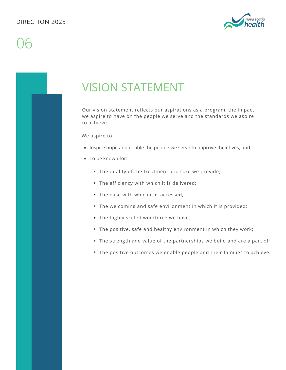

### VISION STATEMENT

Our vision statement reflects our aspirations as a program, the impact we aspire to have on the people we serve and the standards we aspire to achieve.

We aspire to:

- Inspire hope and enable the people we serve to improve their lives; and
- To be known for:
	- The quality of the treatment and care we provide;
	- The efficiency with which it is delivered;
	- The ease with which it is accessed:
	- The welcoming and safe environment in which it is provided;
	- The highly skilled workforce we have;
	- The positive, safe and healthy environment in which they work;
	- The strength and value of the partnerships we build and are a part of;
	- The positive outcomes we enable people and their families to achieve.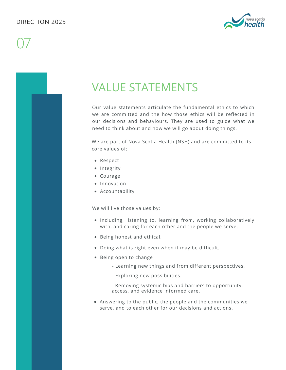

### VALUE STATEMENTS

Our value statements articulate the fundamental ethics to which we are committed and the how those ethics will be reflected in our decisions and behaviours. They are used to guide what we need to think about and how we will go about doing things.

We are part of Nova Scotia Health (NSH) and are committed to its core values of:

- Respect
- Integrity
- Courage
- Innovation
- Accountability

We will live those values by:

- Including, listening to, learning from, working collaboratively with, and caring for each other and the people we serve.
- Being honest and ethical.
- Doing what is right even when it may be difficult.
- Being open to change
	- Learning new things and from different perspectives.
	- Exploring new possibilities.

- Removing systemic bias and barriers to opportunity, access, and evidence informed care.

Answering to the public, the people and the communities we serve, and to each other for our decisions and actions.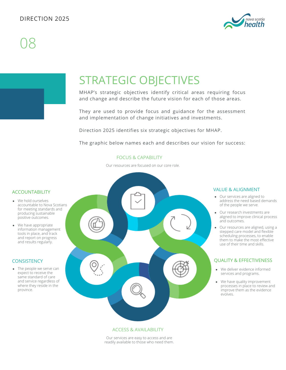

### STRATEGIC OBJECTIVES

MHAP's strategic objectives identify critical areas requiring focus and change and describe the future vision for each of those areas.

They are used to provide focus and guidance for the assessment and implementation of change initiatives and investments.

Direction 2025 identifies six strategic objectives for MHAP.

The graphic below names each and describes our vision for success:

#### FOCUS & CAPABILITY

Our resources are focused on our core role.

#### ACCOUNTABILITY

- We hold ourselves accountable to Nova Scotians for meeting standards and producing sustainable positive outcomes.
- We have appropriate information management tools in place, and track and report on progress and results regularly.

#### **CONSISTENCY**

• The people we serve can expect to receive the same standard of care and service regardless of where they reside in the province.



#### ACCESS & AVAILABILITY

Our services are easy to access and are readily available to those who need them.

#### VALUE & ALIGNMENT

- Our services are aligned to address the need based demands of the people we serve.
- Our research investments are aligned to improve clinical process and outcomes.
- Our resources are aligned, using a stepped care model and flexible scheduling processes, to enable them to make the most effective use of their time and skills.

#### QUALITY & EFFECTIVENESS

- We deliver evidence informed services and programs.
- We have quality improvement processes in place to review and improve them as the evidence evolves.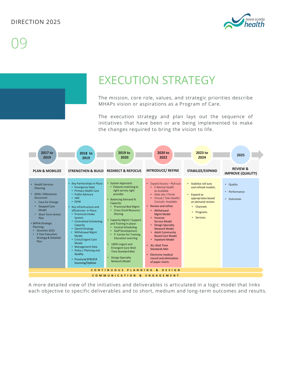

### EXECUTION STRATEGY

The mission, core role, values, and strategic priorities describe MHAPs vision or aspirations as a Program of Care.

The execution strategy and plan lays out the sequence of initiatives that have been or are being implemented to make the changes required to bring the vision to life.



A more detailed view of the initiatives and deliverables is articulated in a logic model that links each objective to specific deliverables and to short, medium and long-term outcomes and results.